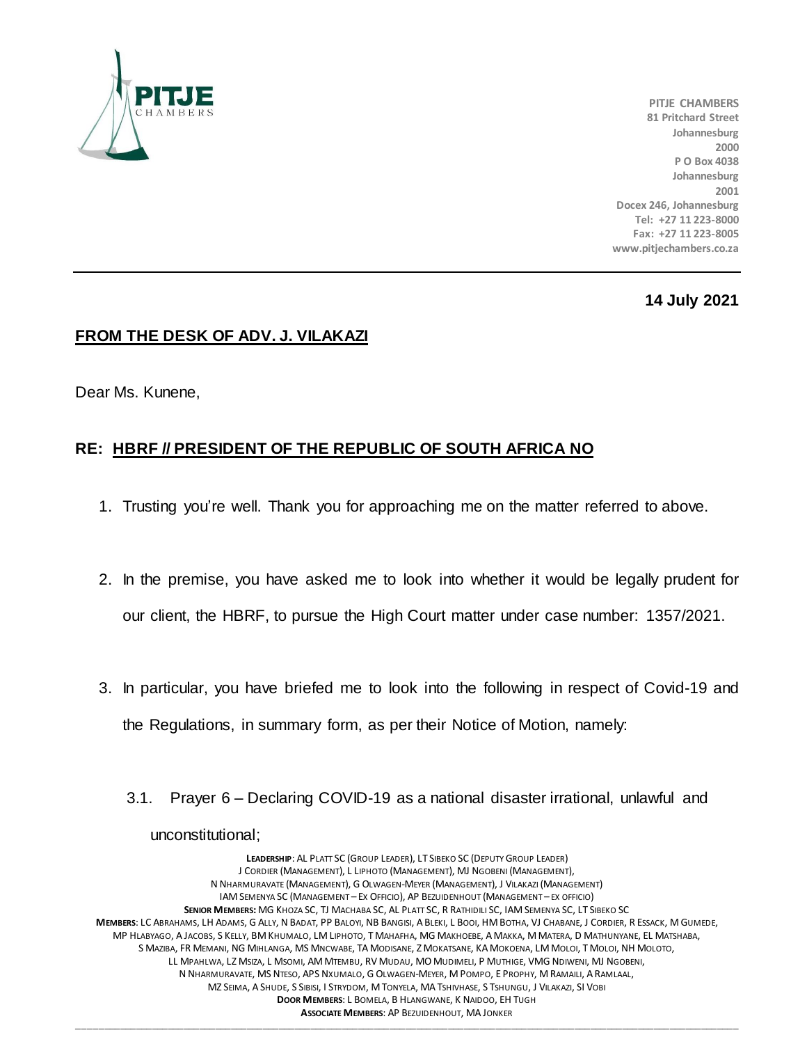

**PITJE CHAMBERS 81 Pritchard Street Johannesburg 2000 P O Box 4038 Johannesburg 2001 Docex 246, Johannesburg Tel: +27 11 223-8000 Fax: +27 11 223-8005 www.pitjechambers.co.za**

## **14 July 2021**

## **FROM THE DESK OF ADV. J. VILAKAZI**

Dear Ms. Kunene,

## **RE: HBRF // PRESIDENT OF THE REPUBLIC OF SOUTH AFRICA NO**

- 1. Trusting you're well. Thank you for approaching me on the matter referred to above.
- 2. In the premise, you have asked me to look into whether it would be legally prudent for our client, the HBRF, to pursue the High Court matter under case number: 1357/2021.
- 3. In particular, you have briefed me to look into the following in respect of Covid-19 and the Regulations, in summary form, as per their Notice of Motion, namely:
	- 3.1. Prayer 6 Declaring COVID-19 as a national disaster irrational, unlawful and unconstitutional;

**LEADERSHIP**: AL PLATT SC (GROUP LEADER), LT SIBEKO SC (DEPUTY GROUP LEADER) J CORDIER (MANAGEMENT), L LIPHOTO (MANAGEMENT), MJ NGOBENI (MANAGEMENT), N NHARMURAVATE (MANAGEMENT), G OLWAGEN-MEYER (MANAGEMENT), J VILAKAZI (MANAGEMENT) IAM SEMENYA SC (MANAGEMENT – EX OFFICIO), AP BEZUIDENHOUT (MANAGEMENT – EX OFFICIO) **SENIOR MEMBERS:** MG KHOZA SC, TJ MACHABA SC, AL PLATT SC, R RATHIDILI SC, IAM SEMENYA SC, LT SIBEKO SC **MEMBERS**: LC ABRAHAMS, LH ADAMS, G ALLY, N BADAT, PP BALOYI, NB BANGISI, A BLEKI, L BOOI, HM BOTHA, VJ CHABANE, J CORDIER, R ESSACK, M GUMEDE, MP HLABYAGO, A JACOBS, S KELLY, BM KHUMALO, LM LIPHOTO, T MAHAFHA, MG MAKHOEBE, A MAKKA, M MATERA, D MATHUNYANE, EL MATSHABA, S MAZIBA, FR MEMANI, NG MIHLANGA, MS MNCWABE, TA MODISANE, Z MOKATSANE, KA MOKOENA, LM MOLOI, T MOLOI, NH MOLOTO, LL MPAHLWA, LZ MSIZA, L MSOMI, AM MTEMBU, RV MUDAU, MO MUDIMELI, P MUTHIGE, VMG NDIWENI, MJ NGOBENI, N NHARMURAVATE, MS NTESO, APS NXUMALO, G OLWAGEN-MEYER, M POMPO, E PROPHY, M RAMAILI, A RAMLAAL, MZ SEIMA, A SHUDE, S SIBISI, I STRYDOM, M TONYELA, MA TSHIVHASE, S TSHUNGU, J VILAKAZI, SI VOBI **DOOR MEMBERS**: L BOMELA, B HLANGWANE, K NAIDOO, EH TUGH **ASSOCIATE MEMBERS**: AP BEZUIDENHOUT, MA JONKER

\_\_\_\_\_\_\_\_\_\_\_\_\_\_\_\_\_\_\_\_\_\_\_\_\_\_\_\_\_\_\_\_\_\_\_\_\_\_\_\_\_\_\_\_\_\_\_\_\_\_\_\_\_\_\_\_\_\_\_\_\_\_\_\_\_\_\_\_\_\_\_\_\_\_\_\_\_\_\_\_\_\_\_\_\_\_\_\_\_\_\_\_\_\_\_\_\_\_\_\_\_\_\_\_\_\_\_\_\_\_\_\_\_\_\_\_\_\_\_\_\_\_\_\_\_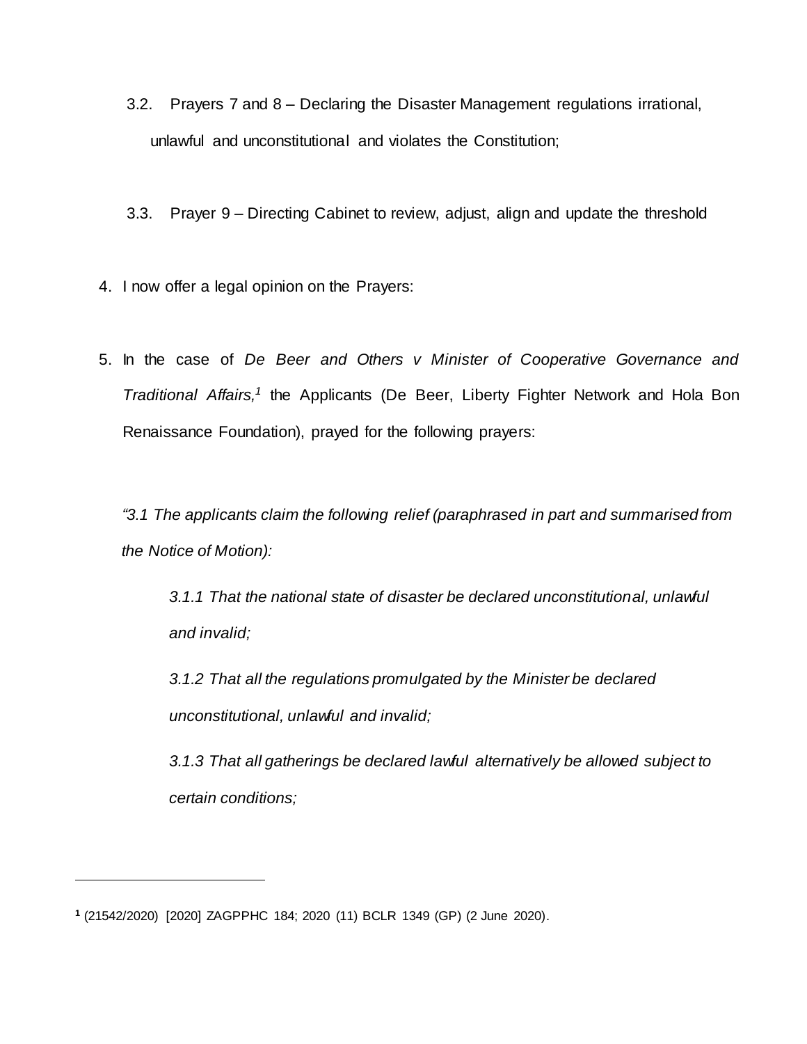- 3.2. Prayers 7 and 8 Declaring the Disaster Management regulations irrational, unlawful and unconstitutional and violates the Constitution;
- 3.3. Prayer 9 Directing Cabinet to review, adjust, align and update the threshold
- 4. I now offer a legal opinion on the Prayers:
- 5. In the case of *De Beer and Others v Minister of Cooperative Governance and Traditional Affairs*,<sup>1</sup> the Applicants (De Beer, Liberty Fighter Network and Hola Bon Renaissance Foundation), prayed for the following prayers:

*"3.1 The applicants claim the following relief (paraphrased in part and summarised from the Notice of Motion):*

*3.1.1 That the national state of disaster be declared unconstitutional, unlawful and invalid;*

*3.1.2 That all the regulations promulgated by the Minister be declared unconstitutional, unlawful and invalid;*

*3.1.3 That all gatherings be declared lawful alternatively be allowed subject to certain conditions;*

l

**<sup>1</sup>** (21542/2020) [2020] ZAGPPHC 184; 2020 (11) BCLR 1349 (GP) (2 June 2020).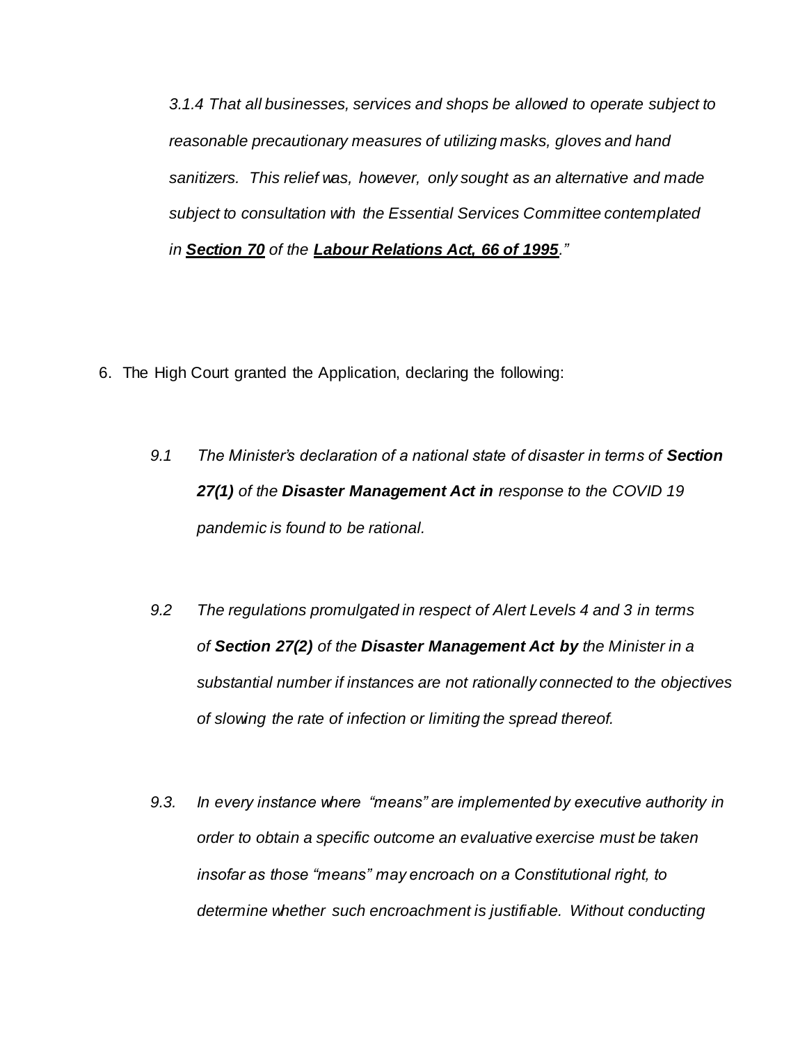*3.1.4 That all businesses, services and shops be allowed to operate subject to reasonable precautionary measures of utilizing masks, gloves and hand sanitizers. This relief was, however, only sought as an alternative and made subject to consultation with the Essential Services Committee contemplated in [Section 70](http://www.saflii.org/za/legis/consol_act/lra1995188/index.html#s70) of the [Labour Relations Act, 66 of 1995](http://www.saflii.org/za/legis/consol_act/lra1995188/)."*

- 6. The High Court granted the Application, declaring the following:
	- *9.1 The Minister's declaration of a national state of disaster in terms of [Section](http://www.saflii.org/za/legis/num_act/dma2002191/index.html#s27)  [27\(1\)](http://www.saflii.org/za/legis/num_act/dma2002191/index.html#s27) of the [Disaster](http://www.saflii.org/za/legis/num_act/dma2002191/) [Management Act in](http://www.saflii.org/za/legis/num_act/dma2002191/) response to the COVID 19 pandemic is found to be rational.*
	- *9.2 The regulations promulgated in respect of Alert Levels 4 and 3 in terms of [Section 27\(2\)](http://www.saflii.org/za/legis/num_act/dma2002191/index.html#s27) of the [Disaster](http://www.saflii.org/za/legis/num_act/dma2002191/) [Management Act by](http://www.saflii.org/za/legis/num_act/dma2002191/) the Minister in a substantial number if instances are not rationally connected to the objectives of slowing the rate of infection or limiting the spread thereof.*
	- *9.3. In every instance where "means" are implemented by executive authority in order to obtain a specific outcome an evaluative exercise must be taken insofar as those "means" may encroach on a Constitutional right, to determine whether such encroachment is justifiable. Without conducting*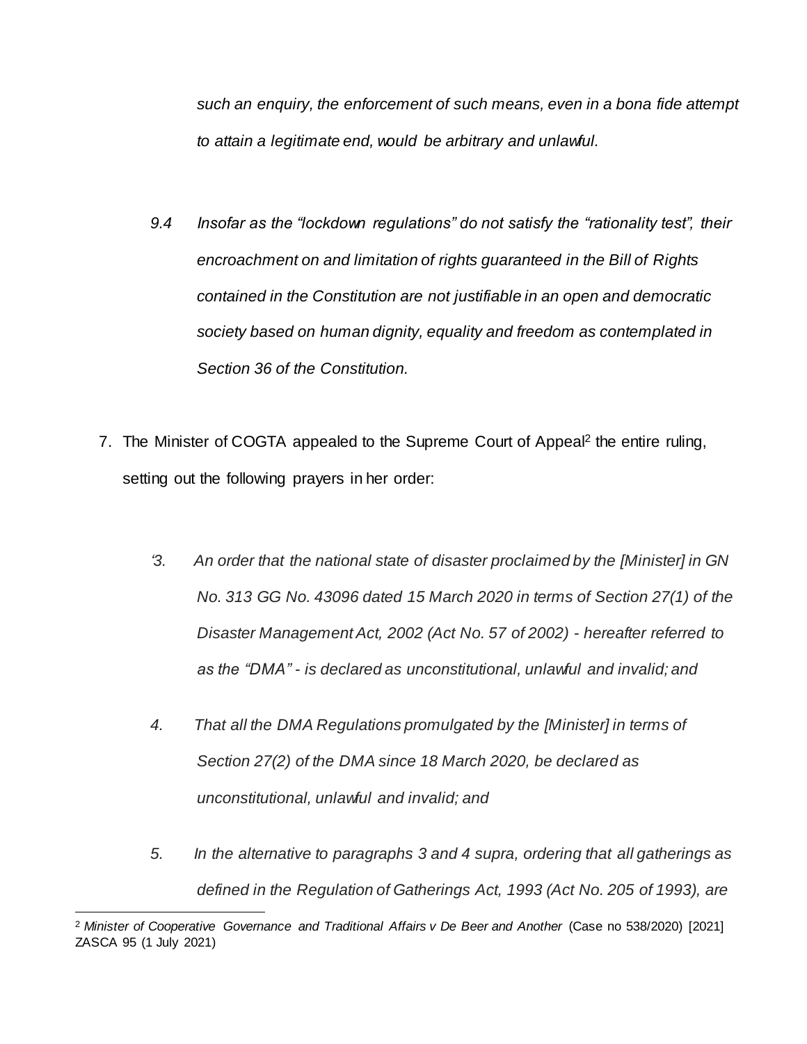*such an enquiry, the enforcement of such means, even in a bona fide attempt to attain a legitimate end, would be arbitrary and unlawful.*

- *9.4 Insofar as the "lockdown regulations" do not satisfy the "rationality test", their encroachment on and limitation of rights guaranteed in the Bill of Rights contained in the Constitution are not justifiable in an open and democratic society based on human dignity, equality and freedom as contemplated in Section 36 of the Constitution.*
- 7. The Minister of COGTA appealed to the Supreme Court of Appeal<sup>2</sup> the entire ruling, setting out the following prayers in her order:
	- *'3. An order that the national state of disaster proclaimed by the [Minister] in GN No. 313 GG No. 43096 dated 15 March 2020 in terms of Section 27(1) of the Disaster Management Act, 2002 (Act No. 57 of 2002) - hereafter referred to as the "DMA" - is declared as unconstitutional, unlawful and invalid; and*
	- *4. That all the DMA Regulations promulgated by the [Minister] in terms of Section 27(2) of the DMA since 18 March 2020, be declared as unconstitutional, unlawful and invalid; and*
	- *5. In the alternative to paragraphs 3 and 4 supra, ordering that all gatherings as defined in the Regulation of Gatherings Act, 1993 (Act No. 205 of 1993), are*

 $\overline{a}$ 

<sup>2</sup> *Minister of Cooperative Governance and Traditional Affairs v De Beer and Another* (Case no 538/2020) [\[2021\]](http://www.saflii.org/cgi-bin/LawCite?cit=%5b2021%5d%20ZASCA%2095)  [ZASCA 95](http://www.saflii.org/cgi-bin/LawCite?cit=%5b2021%5d%20ZASCA%2095) (1 July 2021)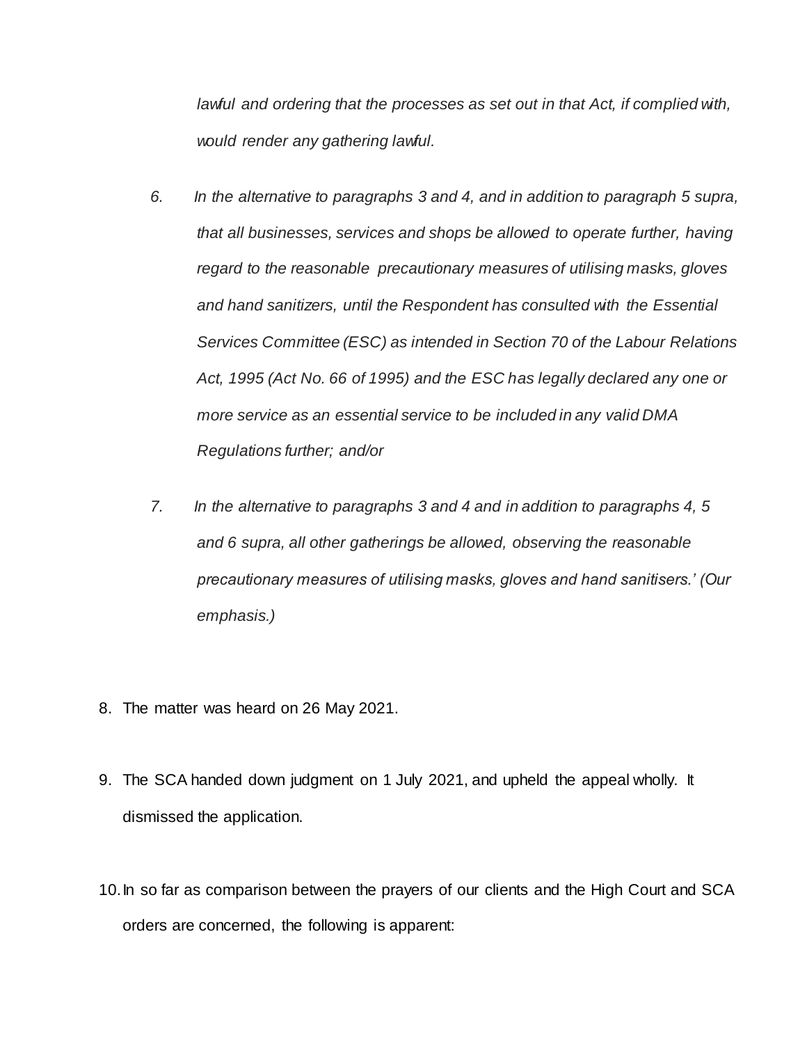*lawful and ordering that the processes as set out in that Act, if complied with, would render any gathering lawful.*

- *6. In the alternative to paragraphs 3 and 4, and in addition to paragraph 5 supra, that all businesses, services and shops be allowed to operate further, having regard to the reasonable precautionary measures of utilising masks, gloves and hand sanitizers, until the Respondent has consulted with the Essential Services Committee (ESC) as intended in Section 70 of the Labour Relations Act, 1995 (Act No. 66 of 1995) and the ESC has legally declared any one or more service as an essential service to be included in any valid DMA Regulations further; and/or*
- *7. In the alternative to paragraphs 3 and 4 and in addition to paragraphs 4, 5 and 6 supra, all other gatherings be allowed, observing the reasonable precautionary measures of utilising masks, gloves and hand sanitisers.' (Our emphasis.)*
- 8. The matter was heard on 26 May 2021.
- 9. The SCA handed down judgment on 1 July 2021, and upheld the appeal wholly. It dismissed the application.
- 10.In so far as comparison between the prayers of our clients and the High Court and SCA orders are concerned, the following is apparent: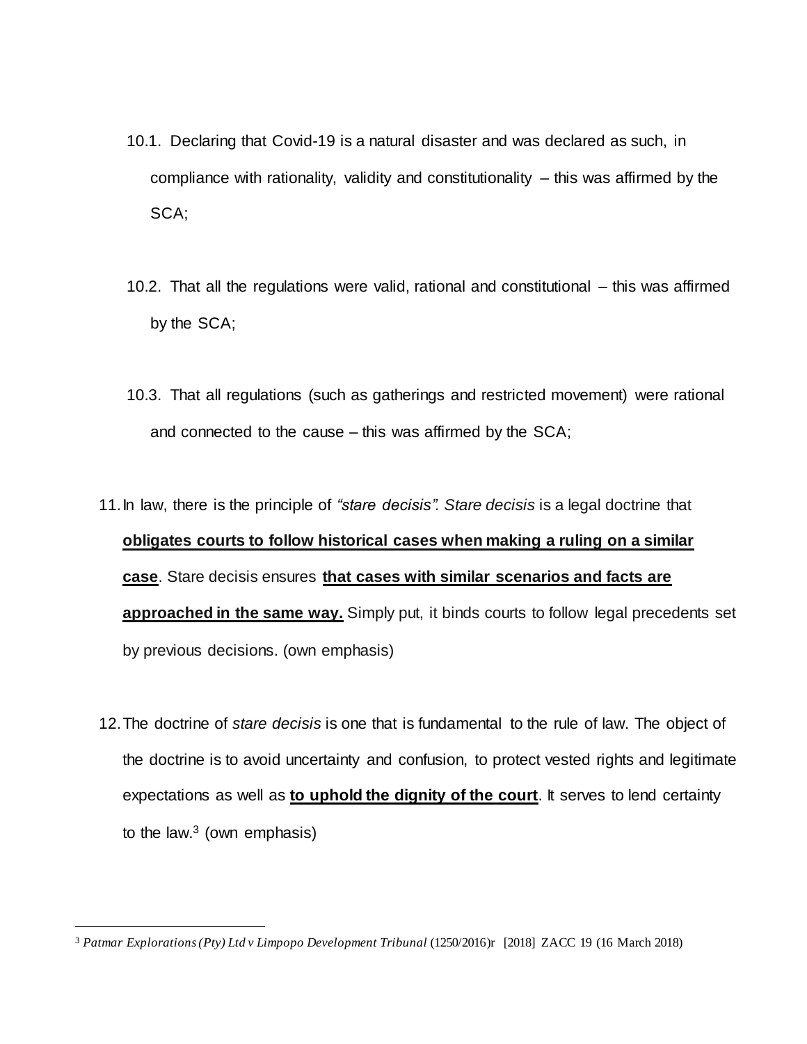- 10.1. Declaring that Covid-19 is a natural disaster and was declared as such, in compliance with rationality, validity and constitutionality  $-$  this was affirmed by the SCA;
- 10.2. That all the regulations were valid, rational and constitutional this was affirmed by the SCA;
- 10.3. That all regulations (such as gatherings and restricted movement) were rational and connected to the cause – this was affirmed by the SCA;
- 11.In law, there is the principle of *"stare decisis". Stare decisis* is a legal doctrine that **obligates courts to follow historical cases when making a ruling on a similar case**. Stare decisis ensures **that cases with similar scenarios and facts are approached in the same way.** Simply put, it binds courts to follow legal precedents set by previous decisions. (own emphasis)
- 12.The doctrine of *stare decisis* is one that is fundamental to the rule of law. The object of the doctrine is to avoid uncertainty and confusion, to protect vested rights and legitimate expectations as well as **to uphold the dignity of the court**. It serves to lend certainty to the law. $3$  (own emphasis)

 $\overline{a}$ 

<sup>3</sup> *Patmar Explorations (Pty) Ltd v Limpopo Development Tribunal* (1250/2016)r [2018] ZACC 19 (16 March 2018)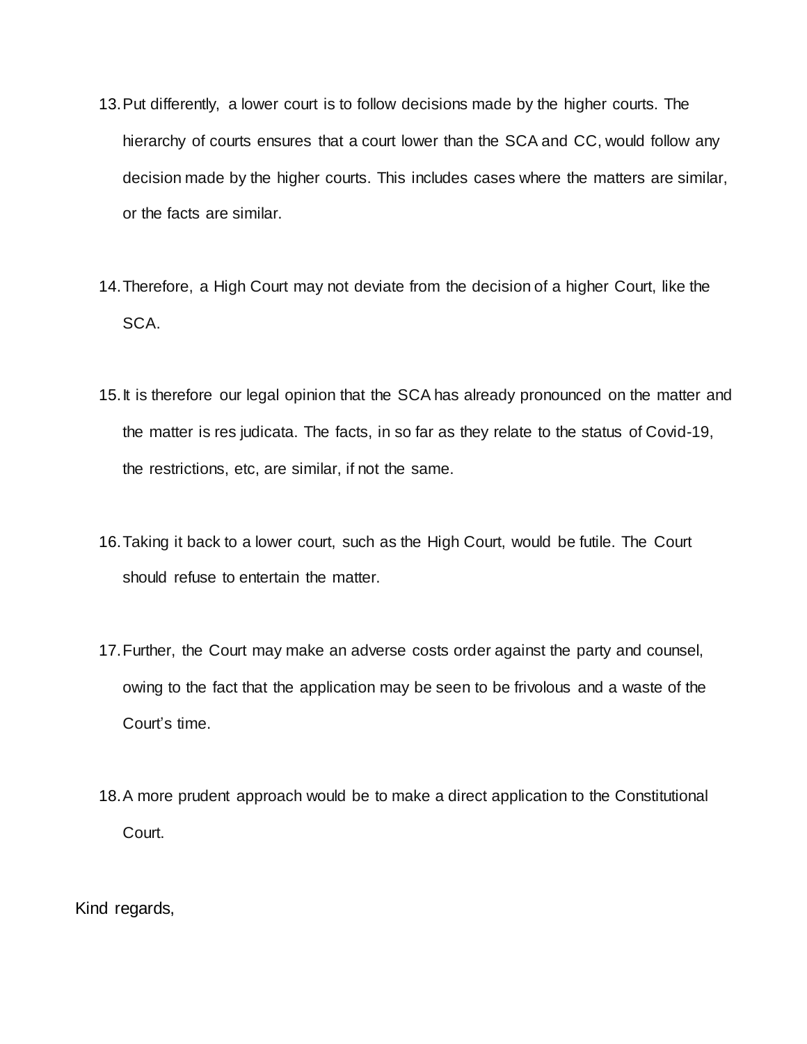- 13.Put differently, a lower court is to follow decisions made by the higher courts. The hierarchy of courts ensures that a court lower than the SCA and CC, would follow any decision made by the higher courts. This includes cases where the matters are similar, or the facts are similar.
- 14.Therefore, a High Court may not deviate from the decision of a higher Court, like the SCA.
- 15. It is therefore our legal opinion that the SCA has already pronounced on the matter and the matter is res judicata. The facts, in so far as they relate to the status of Covid-19, the restrictions, etc, are similar, if not the same.
- 16.Taking it back to a lower court, such as the High Court, would be futile. The Court should refuse to entertain the matter.
- 17.Further, the Court may make an adverse costs order against the party and counsel, owing to the fact that the application may be seen to be frivolous and a waste of the Court's time.
- 18.A more prudent approach would be to make a direct application to the Constitutional Court.

Kind regards,